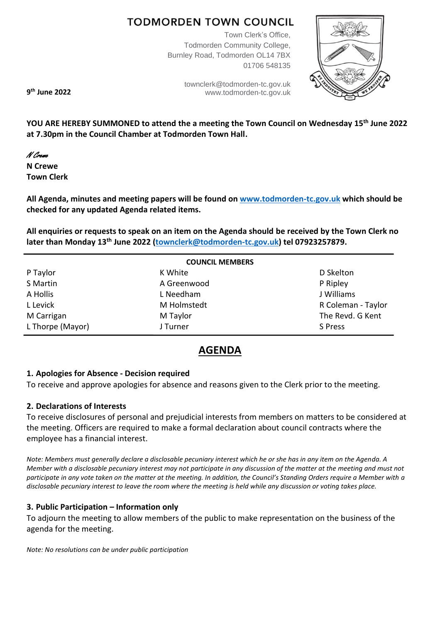# **TODMORDEN TOWN COUNCIL**

Town Clerk's Office, Todmorden Community College, Burnley Road, Todmorden OL14 7BX 01706 548135

> [townclerk@todmorden-tc.gov.uk](mailto:townclerk@todmorden-tc.gov.uk) www.todmorden-tc.gov.uk



**9 th June 2022**

**YOU ARE HEREBY SUMMONED to attend the a meeting the Town Council on Wednesday 15th June 2022 at 7.30pm in the Council Chamber at Todmorden Town Hall.**

## N Crewe

**N Crewe Town Clerk**

**All Agenda, minutes and meeting papers will be found on [www.todmorden-tc.gov.uk](http://www.todmorden-tc.gov.uk/) which should be checked for any updated Agenda related items.**

**All enquiries or requests to speak on an item on the Agenda should be received by the Town Clerk no later than Monday 13th June 2022 [\(townclerk@todmorden-tc.gov.uk\)](mailto:townclerk@todmorden-tc.gov.uk) tel 07923257879.**

| <b>COUNCIL MEMBERS</b> |             |                    |  |
|------------------------|-------------|--------------------|--|
| P Taylor               | K White     | D Skelton          |  |
| S Martin               | A Greenwood | P Ripley           |  |
| A Hollis               | L Needham   | J Williams         |  |
| L Levick               | M Holmstedt | R Coleman - Taylor |  |
| M Carrigan             | M Taylor    | The Revd. G Kent   |  |
| L Thorpe (Mayor)       | J Turner    | S Press            |  |

# **AGENDA**

## **1. Apologies for Absence - Decision required**

To receive and approve apologies for absence and reasons given to the Clerk prior to the meeting.

## **2. Declarations of Interests**

To receive disclosures of personal and prejudicial interests from members on matters to be considered at the meeting. Officers are required to make a formal declaration about council contracts where the employee has a financial interest.

*Note: Members must generally declare a disclosable pecuniary interest which he or she has in any item on the Agenda. A Member with a disclosable pecuniary interest may not participate in any discussion of the matter at the meeting and must not participate in any vote taken on the matter at the meeting. In addition, the Council's Standing Orders require a Member with a disclosable pecuniary interest to leave the room where the meeting is held while any discussion or voting takes place.* 

## **3. Public Participation – Information only**

To adjourn the meeting to allow members of the public to make representation on the business of the agenda for the meeting.

*Note: No resolutions can be under public participation*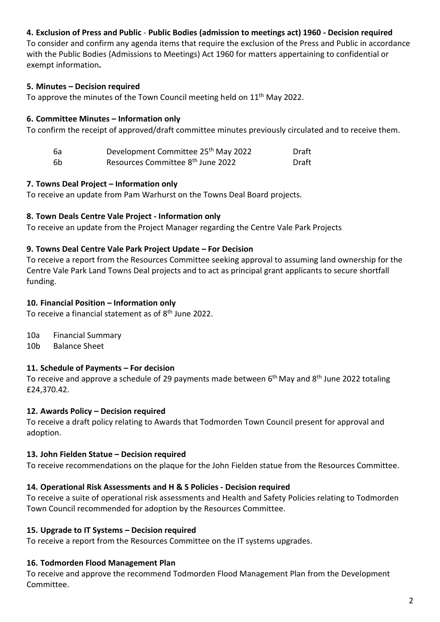## **4. Exclusion of Press and Public** - **Public Bodies (admission to meetings act) 1960 - Decision required**

To consider and confirm any agenda items that require the exclusion of the Press and Public in accordance with the Public Bodies (Admissions to Meetings) Act 1960 for matters appertaining to confidential or exempt information**.** 

## **5. Minutes – Decision required**

To approve the minutes of the Town Council meeting held on 11<sup>th</sup> May 2022.

## **6. Committee Minutes – Information only**

To confirm the receipt of approved/draft committee minutes previously circulated and to receive them.

| 6а | Development Committee 25 <sup>th</sup> May 2022 | Draft |
|----|-------------------------------------------------|-------|
| 6b | Resources Committee 8 <sup>th</sup> June 2022   | Draft |

## **7. Towns Deal Project – Information only**

To receive an update from Pam Warhurst on the Towns Deal Board projects.

## **8. Town Deals Centre Vale Project - Information only**

To receive an update from the Project Manager regarding the Centre Vale Park Projects

## **9. Towns Deal Centre Vale Park Project Update – For Decision**

To receive a report from the Resources Committee seeking approval to assuming land ownership for the Centre Vale Park Land Towns Deal projects and to act as principal grant applicants to secure shortfall funding.

## **10. Financial Position – Information only**

To receive a financial statement as of 8<sup>th</sup> June 2022.

- 10a Financial Summary
- 10b Balance Sheet

## **11. Schedule of Payments – For decision**

To receive and approve a schedule of 29 payments made between 6<sup>th</sup> May and 8<sup>th</sup> June 2022 totaling £24,370.42.

## **12. Awards Policy – Decision required**

To receive a draft policy relating to Awards that Todmorden Town Council present for approval and adoption.

## **13. John Fielden Statue – Decision required**

To receive recommendations on the plaque for the John Fielden statue from the Resources Committee.

## **14. Operational Risk Assessments and H & S Policies - Decision required**

To receive a suite of operational risk assessments and Health and Safety Policies relating to Todmorden Town Council recommended for adoption by the Resources Committee.

## **15. Upgrade to IT Systems – Decision required**

To receive a report from the Resources Committee on the IT systems upgrades.

## **16. Todmorden Flood Management Plan**

To receive and approve the recommend Todmorden Flood Management Plan from the Development Committee.